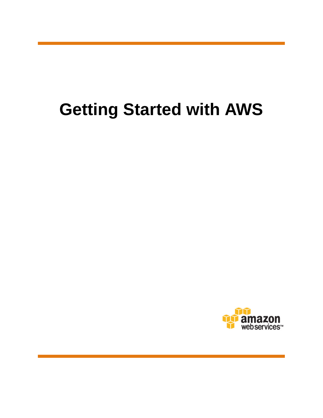# **Getting Started with AWS**

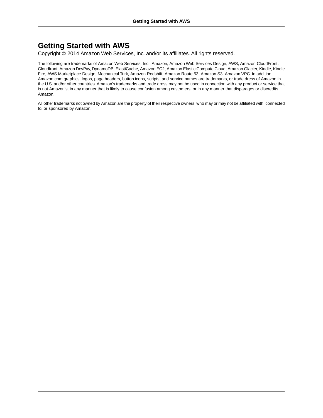### **Getting Started with AWS**

Copyright © 2014 Amazon Web Services, Inc. and/or its affiliates. All rights reserved.

The following are trademarks of Amazon Web Services, Inc.: Amazon, Amazon Web Services Design, AWS, Amazon CloudFront, Cloudfront, Amazon DevPay, DynamoDB, ElastiCache, Amazon EC2, Amazon Elastic Compute Cloud, Amazon Glacier, Kindle, Kindle Fire, AWS Marketplace Design, Mechanical Turk, Amazon Redshift, Amazon Route 53, Amazon S3, Amazon VPC. In addition, Amazon.com graphics, logos, page headers, button icons, scripts, and service names are trademarks, or trade dress of Amazon in the U.S. and/or other countries. Amazon's trademarks and trade dress may not be used in connection with any product or service that is not Amazon's, in any manner that is likely to cause confusion among customers, or in any manner that disparages or discredits Amazon.

All other trademarks not owned by Amazon are the property of their respective owners, who may or may not be affiliated with, connected to, or sponsored by Amazon.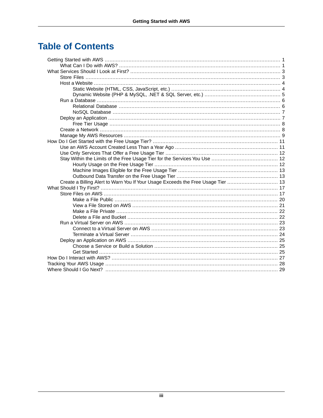## **Table of Contents**

| Create a Billing Alert to Warn You If Your Usage Exceeds the Free Usage Tier  13 |  |
|----------------------------------------------------------------------------------|--|
|                                                                                  |  |
|                                                                                  |  |
|                                                                                  |  |
|                                                                                  |  |
|                                                                                  |  |
|                                                                                  |  |
|                                                                                  |  |
|                                                                                  |  |
|                                                                                  |  |
|                                                                                  |  |
|                                                                                  |  |
|                                                                                  |  |
|                                                                                  |  |
|                                                                                  |  |
|                                                                                  |  |
|                                                                                  |  |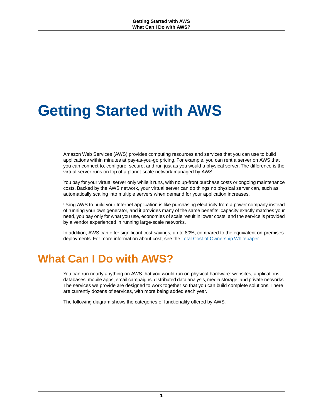# <span id="page-3-0"></span>**Getting Started with AWS**

Amazon Web Services (AWS) provides computing resources and services that you can use to build applications within minutes at pay-as-you-go pricing. For example, you can rent a server on AWS that you can connect to, configure, secure, and run just as you would a physical server. The difference is the virtual server runs on top of a planet-scale network managed by AWS.

You pay for your virtual server only while it runs, with no up-front purchase costs or ongoing maintenance costs. Backed by the AWS network, your virtual server can do things no physical server can, such as automatically scaling into multiple servers when demand for your application increases.

Using AWS to build your Internet application is like purchasing electricity from a power company instead of running your own generator, and it provides many of the same benefits: capacity exactly matches your need, you pay only for what you use, economies of scale result in lower costs, and the service is provided by a vendor experienced in running large-scale networks.

<span id="page-3-1"></span>In addition, AWS can offer significant cost savings, up to 80%, compared to the equivalent on-premises deployments. For more information about cost, see the [Total Cost of Ownership Whitepaper.](http://aws.amazon.com/web-mobile-social/tco/)

# **What Can I Do with AWS?**

You can run nearly anything on AWS that you would run on physical hardware: websites, applications, databases, mobile apps, email campaigns, distributed data analysis, media storage, and private networks. The services we provide are designed to work together so that you can build complete solutions. There are currently dozens of services, with more being added each year.

The following diagram shows the categories of functionality offered by AWS.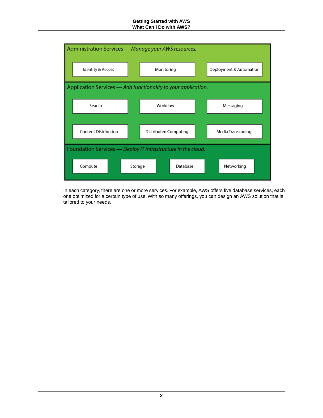#### **Getting Started with AWS What Can I Do with AWS?**



In each category, there are one or more services. For example, AWS offers five database services, each one optimized for a certain type of use. With so many offerings, you can design an AWS solution that is tailored to your needs.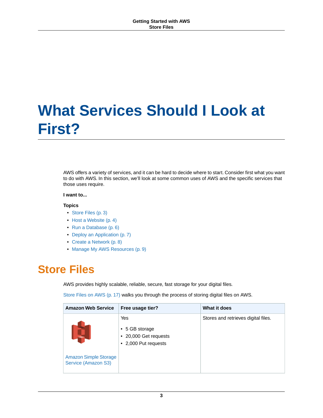# <span id="page-5-0"></span>**What Services Should I Look at First?**

AWS offers a variety of services, and it can be hard to decide where to start. Consider first what you want to do with AWS. In this section, we'll look at some common uses of AWS and the specific services that those uses require.

#### **I want to...**

#### **Topics**

- [Store Files \(p.](#page-5-1) 3)
- [Host a Website \(p.](#page-6-0) 4)
- [Run a Database \(p.](#page-8-0) 6)
- [Deploy an Application \(p.](#page-9-1) 7)
- <span id="page-5-1"></span>• [Create a Network \(p.](#page-10-1) 8)
- [Manage My AWS Resources \(p.](#page-11-0) 9)

### **Store Files**

AWS provides highly scalable, reliable, secure, fast storage for your digital files.

[Store Files on AWS](#page-19-1) (p. [17\)](#page-19-1) walks you through the process of storing digital files on AWS.

| <b>Amazon Web Service</b>                           | Free usage tier?                                                             | What it does                        |
|-----------------------------------------------------|------------------------------------------------------------------------------|-------------------------------------|
| II.                                                 | Yes<br>$\cdot$ 5 GB storage<br>• 20,000 Get requests<br>• 2,000 Put requests | Stores and retrieves digital files. |
| <b>Amazon Simple Storage</b><br>Service (Amazon S3) |                                                                              |                                     |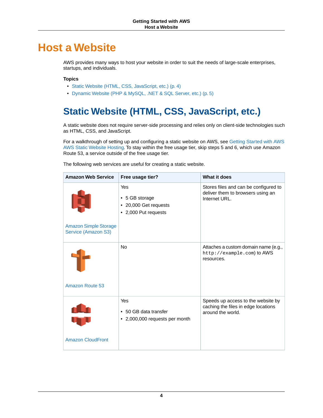# <span id="page-6-0"></span>**Host a Website**

AWS provides many ways to host your website in order to suit the needs of large-scale enterprises, startups, and individuals.

#### **Topics**

- [Static Website \(HTML, CSS, JavaScript, etc.\) \(p.](#page-6-1) 4)
- <span id="page-6-1"></span>• [Dynamic Website \(PHP & MySQL, .NET & SQL Server, etc.\) \(p.](#page-7-0) 5)

## **Static Website (HTML, CSS, JavaScript, etc.)**

A static website does not require server-side processing and relies only on client-side technologies such as HTML, CSS, and JavaScript.

For a walkthrough of setting up and configuring a static website on AWS, see [Getting Started with AWS](http://docs.aws.amazon.com/gettingstarted/latest/swh/) [AWS Static Website Hosting.](http://docs.aws.amazon.com/gettingstarted/latest/swh/) To stay within the free usage tier, skip steps 5 and 6, which use Amazon Route 53, a service outside of the free usage tier.

| <b>Amazon Web Service</b>                           | Free usage tier?                                                       | What it does                                                                                   |
|-----------------------------------------------------|------------------------------------------------------------------------|------------------------------------------------------------------------------------------------|
|                                                     | Yes<br>• 5 GB storage<br>• 20,000 Get requests<br>• 2,000 Put requests | Stores files and can be configured to<br>deliver them to browsers using an<br>Internet URL.    |
| <b>Amazon Simple Storage</b><br>Service (Amazon S3) |                                                                        |                                                                                                |
| Amazon Route 53                                     | <b>No</b>                                                              | Attaches a custom domain name (e.g.,<br>http://example.com) to AWS<br>resources.               |
|                                                     | Yes<br>• 50 GB data transfer<br>• 2,000,000 requests per month         | Speeds up access to the website by<br>caching the files in edge locations<br>around the world. |
| <b>Amazon CloudFront</b>                            |                                                                        |                                                                                                |

The following web services are useful for creating a static website.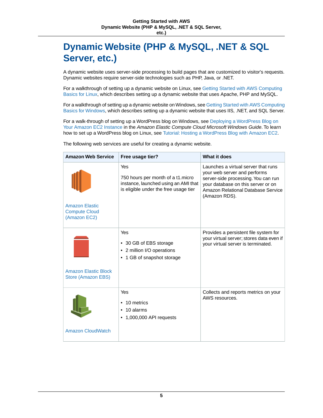## <span id="page-7-0"></span>**Dynamic Website (PHP & MySQL, .NET & SQL Server, etc.)**

A dynamic website uses server-side processing to build pages that are customized to visitor's requests. Dynamic websites require server-side technologies such as PHP, Java, or .NET.

For a walkthrough of setting up a dynamic website on Linux, see [Getting Started with AWS Computing](http://docs.aws.amazon.com/gettingstarted/latest/computebasics-linux/) [Basics for Linux,](http://docs.aws.amazon.com/gettingstarted/latest/computebasics-linux/) which describes setting up a dynamic website that uses Apache, PHP and MySQL.

For a walkthrough of setting up a dynamic website on Windows, see [Getting Started with AWS Computing](http://docs.aws.amazon.com/gettingstarted/latest/computebasics/) [Basics for Windows](http://docs.aws.amazon.com/gettingstarted/latest/computebasics/), which describes setting up a dynamic website that uses IIS, .NET, and SQL Server.

For a walk-through of setting up a WordPress blog on Windows, see [Deploying a WordPress Blog on](http://docs.aws.amazon.com/AWSEC2/latest/WindowsGuide/EC2Win_CreateWordPressBlog.html) [Your Amazon EC2 Instance](http://docs.aws.amazon.com/AWSEC2/latest/WindowsGuide/EC2Win_CreateWordPressBlog.html) in the *Amazon Elastic Compute Cloud Microsoft Windows Guide*. To learn how to set up a WordPress blog on Linux, see [Tutorial: Hosting a WordPress Blog with Amazon EC2](http://docs.aws.amazon.com/AWSEC2/latest/UserGuide/hosting-wordpress.html).

| <b>Amazon Web Service</b>                                     | Free usage tier?                                                                                                          | What it does                                                                                                                                                                                            |
|---------------------------------------------------------------|---------------------------------------------------------------------------------------------------------------------------|---------------------------------------------------------------------------------------------------------------------------------------------------------------------------------------------------------|
| <b>Amazon Elastic</b><br><b>Compute Cloud</b><br>(Amazon EC2) | Yes<br>750 hours per month of a t1.micro<br>instance, launched using an AMI that<br>is eligible under the free usage tier | Launches a virtual server that runs<br>your web server and performs<br>server-side processing. You can run<br>your database on this server or on<br>Amazon Relational Database Service<br>(Amazon RDS). |
|                                                               |                                                                                                                           |                                                                                                                                                                                                         |
| <b>Amazon Elastic Block</b>                                   | Yes<br>• 30 GB of EBS storage<br>• 2 million I/O operations<br>• 1 GB of snapshot storage                                 | Provides a persistent file system for<br>your virtual server; stores data even if<br>your virtual server is terminated.                                                                                 |
| Store (Amazon EBS)                                            |                                                                                                                           |                                                                                                                                                                                                         |
| Amazon CloudWatch                                             | Yes<br>10 metrics<br>10 alarms<br>1,000,000 API requests                                                                  | Collects and reports metrics on your<br>AWS resources.                                                                                                                                                  |
|                                                               |                                                                                                                           |                                                                                                                                                                                                         |

The following web services are useful for creating a dynamic website.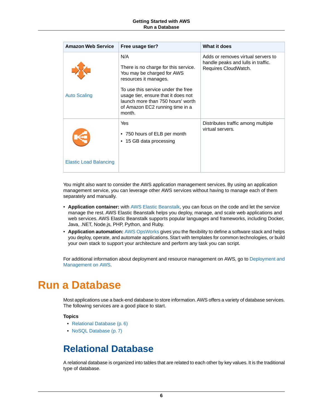| <b>Amazon Web Service</b>     | Free usage tier?                                                                                                                                                                                                                                                  | What it does                                                                                     |
|-------------------------------|-------------------------------------------------------------------------------------------------------------------------------------------------------------------------------------------------------------------------------------------------------------------|--------------------------------------------------------------------------------------------------|
| <b>Auto Scaling</b>           | N/A<br>There is no charge for this service.<br>You may be charged for AWS<br>resources it manages.<br>To use this service under the free<br>usage tier, ensure that it does not<br>launch more than 750 hours' worth<br>of Amazon EC2 running time in a<br>month. | Adds or removes virtual servers to<br>handle peaks and lulls in traffic.<br>Requires CloudWatch. |
| <b>Elastic Load Balancing</b> | Yes<br>• 750 hours of ELB per month<br>• 15 GB data processing                                                                                                                                                                                                    | Distributes traffic among multiple<br>virtual servers.                                           |

You might also want to consider the AWS application management services. By using an application management service, you can leverage other AWS services without having to manage each of them separately and manually.

- **Application container:** with [AWS Elastic Beanstalk,](https://aws.amazon.com/elasticbeanstalk/) you can focus on the code and let the service manage the rest. AWS Elastic Beanstalk helps you deploy, manage, and scale web applications and web services. AWS Elastic Beanstalk supports popular languages and frameworks, including Docker, Java, .NET, Node.js, PHP, Python, and Ruby.
- <span id="page-8-0"></span>• **Application automation:** [AWS OpsWorks](https://aws.amazon.com/opsworks/) gives you the flexibility to define a software stack and helps you deploy, operate, and automate applications. Start with templates for common technologies, or build your own stack to support your architecture and perform any task you can script.

For additional information about deployment and resource management on AWS, go to [Deployment and](https://aws.amazon.com/application-management/) [Management on AWS.](https://aws.amazon.com/application-management/)

## **Run a Database**

Most applications use a back-end database to store information. AWS offers a variety of database services. The following services are a good place to start.

#### <span id="page-8-1"></span>**Topics**

- [Relational Database \(p.](#page-8-1) 6)
- [NoSQL Database \(p.](#page-9-0) 7)

### **Relational Database**

A relational database is organized into tables that are related to each other by key values. It is the traditional type of database.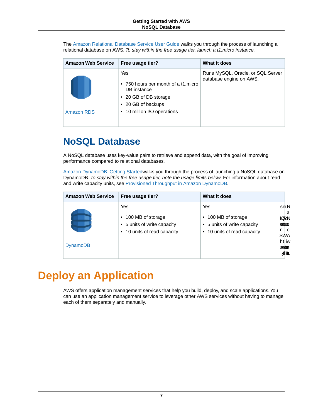The [Amazon Relational Database Service User Guide](http://docs.aws.amazon.com/AmazonRDS/latest/UserGuide/) walks you through the process of launching a relational database on AWS. *To stay within the free usage tier, launch a t1.micro instance.*

| <b>Amazon Web Service</b> | Free usage tier?                                                                                                                        | What it does                                                 |
|---------------------------|-----------------------------------------------------------------------------------------------------------------------------------------|--------------------------------------------------------------|
| Amazon RDS                | Yes<br>• 750 hours per month of a t1 micro<br>DB instance<br>• 20 GB of DB storage<br>• 20 GB of backups<br>• 10 million I/O operations | Runs MySQL, Oracle, or SQL Server<br>database engine on AWS. |

### <span id="page-9-0"></span>**NoSQL Database**

A NoSQL database uses key-value pairs to retrieve and append data, with the goal of improving performance compared to relational databases.

[Amazon DynamoDB: Getting Started](http://docs.aws.amazon.com/amazondynamodb/latest/developerguide/GettingStartedDynamoDB.html)walks you through the process of launching a NoSQL database on DynamoDB. *To stay within the free usage tier, note the usage limits below.* For information about read and write capacity units, see [Provisioned Throughput in Amazon DynamoDB.](http://docs.aws.amazon.com/amazondynamodb/latest/developerguide/ProvisionedThroughputIntro.html)

| <b>Amazon Web Service</b> | Free usage tier?                                                                         | What it does                                                                             |                                                                  |
|---------------------------|------------------------------------------------------------------------------------------|------------------------------------------------------------------------------------------|------------------------------------------------------------------|
|                           | Yes<br>• 100 MB of storage<br>• 5 units of write capacity<br>• 10 units of read capacity | Yes<br>• 100 MB of storage<br>• 5 units of write capacity<br>• 10 units of read capacity | snuR<br>a<br><b>LOSON</b><br>estatad<br>$n \mid o$<br><b>SWA</b> |
| <b>DynamoDB</b>           |                                                                                          |                                                                                          | ht iw<br><b>SGREED</b><br><b>yil地</b>                            |

# <span id="page-9-1"></span>**Deploy an Application**

AWS offers application management services that help you build, deploy, and scale applications.You can use an application management service to leverage other AWS services without having to manage each of them separately and manually.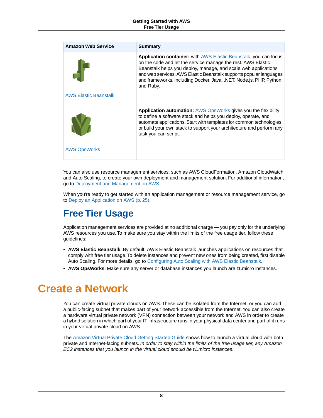| <b>Amazon Web Service</b>    | Summary                                                                                                                                                                                                                                                                                                                                                             |
|------------------------------|---------------------------------------------------------------------------------------------------------------------------------------------------------------------------------------------------------------------------------------------------------------------------------------------------------------------------------------------------------------------|
|                              | <b>Application container:</b> with AWS Elastic Beanstalk, you can focus<br>on the code and let the service manage the rest. AWS Elastic<br>Beanstalk helps you deploy, manage, and scale web applications<br>and web services. AWS Elastic Beanstalk supports popular languages<br>and frameworks, including Docker, Java, .NET, Node.js, PHP, Python,<br>and Ruby. |
| <b>AWS Elastic Beanstalk</b> |                                                                                                                                                                                                                                                                                                                                                                     |
|                              | <b>Application automation:</b> AWS OpsWorks gives you the flexibility<br>to define a software stack and helps you deploy, operate, and<br>automate applications. Start with templates for common technologies,<br>or build your own stack to support your architecture and perform any<br>task you can script.                                                      |
| <b>AWS OpsWorks</b>          |                                                                                                                                                                                                                                                                                                                                                                     |

You can also use resource management services, such as AWS CloudFormation, Amazon CloudWatch, and Auto Scaling, to create your own deployment and management solution. For additional information, go to [Deployment and Management on AWS.](https://aws.amazon.com/application-management/)

<span id="page-10-0"></span>When you're ready to get started with an application management or resource management service, go to [Deploy an Application on AWS](#page-27-0) (p. [25\)](#page-27-0).

## **Free Tier Usage**

Application management services are provided at no additional charge — you pay only for the underlying AWS resources you use. To make sure you stay within the limits of the free usage tier, follow these guidelines:

- <span id="page-10-1"></span>• **AWS Elastic Beanstalk**: By default, AWS Elastic Beanstalk launches applications on resources that comply with free tier usage.To delete instances and prevent new ones from being created, first disable Auto Scaling. For more details, go to [Configuring Auto Scaling with AWS Elastic Beanstalk](http://docs.aws.amazon.com/elasticbeanstalk/latest/dg/using-features.managing.as.html).
- **AWS OpsWorks**: Make sure any server or database instances you launch are t1.micro instances.

## **Create a Network**

You can create virtual private clouds on AWS. These can be isolated from the Internet, or you can add a public-facing subnet that makes part of your network accessible from the Internet.You can also create a hardware virtual private network (VPN) connection between your network and AWS in order to create a hybrid solution in which part of your IT infrastructure runs in your physical data center and part of it runs in your virtual private cloud on AWS.

The [Amazon Virtual Private Cloud Getting Started Guide](http://docs.aws.amazon.com/AmazonVPC/latest/GettingStartedGuide/) shows how to launch a virtual cloud with both private and Internet-facing subnets. *In order to stay within the limits of the free usage tier, any Amazon EC2 instances that you launch in the virtual cloud should be t1.micro instances*.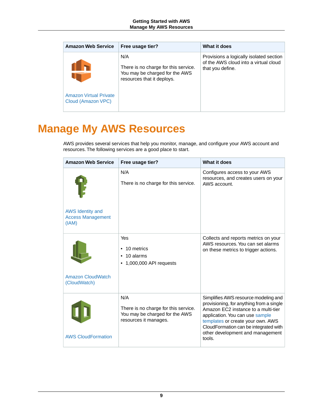| <b>Amazon Web Service</b>                           | Free usage tier?                                                                                            | What it does                                                                                         |
|-----------------------------------------------------|-------------------------------------------------------------------------------------------------------------|------------------------------------------------------------------------------------------------------|
|                                                     | N/A<br>There is no charge for this service.<br>You may be charged for the AWS<br>resources that it deploys. | Provisions a logically isolated section<br>of the AWS cloud into a virtual cloud<br>that you define. |
| <b>Amazon Virtual Private</b><br>Cloud (Amazon VPC) |                                                                                                             |                                                                                                      |

# <span id="page-11-0"></span>**Manage My AWS Resources**

AWS provides several services that help you monitor, manage, and configure your AWS account and resources. The following services are a good place to start.

| <b>Amazon Web Service</b>                                    | Free usage tier?                                                                                       | What it does                                                                                                                                                                                                                                                                           |
|--------------------------------------------------------------|--------------------------------------------------------------------------------------------------------|----------------------------------------------------------------------------------------------------------------------------------------------------------------------------------------------------------------------------------------------------------------------------------------|
| <b>AWS Identity and</b><br><b>Access Management</b><br>(IAM) | N/A<br>There is no charge for this service.                                                            | Configures access to your AWS<br>resources, and creates users on your<br>AWS account.                                                                                                                                                                                                  |
| <b>Amazon CloudWatch</b><br>(CloudWatch)                     | Yes<br>10 metrics<br>$\cdot$ 10 alarms<br>$\bullet$ 1,000,000 API requests                             | Collects and reports metrics on your<br>AWS resources. You can set alarms<br>on these metrics to trigger actions.                                                                                                                                                                      |
| <b>AWS CloudFormation</b>                                    | N/A<br>There is no charge for this service.<br>You may be charged for the AWS<br>resources it manages. | Simplifies AWS resource modeling and<br>provisioning, for anything from a single<br>Amazon EC2 instance to a multi-tier<br>application. You can use sample<br>templates or create your own. AWS<br>CloudFormation can be integrated with<br>other development and management<br>tools. |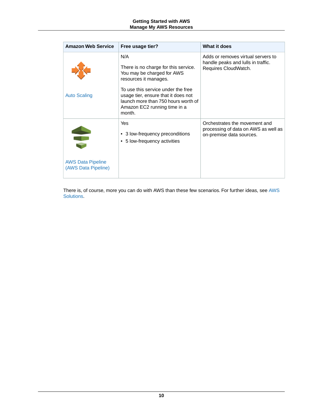| <b>Amazon Web Service</b>                       | Free usage tier?                                                                                                                                                                                                                                                 | What it does                                                                                      |
|-------------------------------------------------|------------------------------------------------------------------------------------------------------------------------------------------------------------------------------------------------------------------------------------------------------------------|---------------------------------------------------------------------------------------------------|
| <b>Auto Scaling</b>                             | N/A<br>There is no charge for this service.<br>You may be charged for AWS<br>resources it manages.<br>To use this service under the free<br>usage tier, ensure that it does not<br>launch more than 750 hours worth of<br>Amazon EC2 running time in a<br>month. | Adds or removes virtual servers to<br>handle peaks and lulls in traffic.<br>Requires CloudWatch.  |
| <b>AWS Data Pipeline</b><br>(AWS Data Pipeline) | Yes<br>• 3 low-frequency preconditions<br>• 5 low-frequency activities                                                                                                                                                                                           | Orchestrates the movement and<br>processing of data on AWS as well as<br>on-premise data sources. |

There is, of course, more you can do with AWS than these few scenarios. For further ideas, see [AWS](http://aws.amazon.com/solutions/aws-solutions/) [Solutions.](http://aws.amazon.com/solutions/aws-solutions/)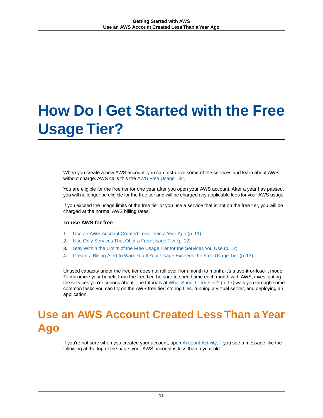# <span id="page-13-0"></span>**How Do I Get Started with the Free Usage Tier?**

When you create a new AWS account, you can test-drive some of the services and learn about AWS without charge. AWS calls this the [AWS Free Usage Tier](http://aws.amazon.com/free/).

You are eligible for the free tier for one year after you open your AWS account. After a year has passed, you will no longer be eligible for the free tier and will be charged any applicable fees for your AWS usage.

If you exceed the usage limits of the free tier or you use a service that is not on the free tier, you will be charged at the normal AWS billing rates.

#### **To use AWS for free**

- 1. [Use an AWS Account Created Less Than a Year Ago \(p.](#page-13-1) 11)
- 2. [Use Only Services That Offer a Free Usage Tier \(p.](#page-14-0) 12)
- 3. [Stay Within the Limits of the Free Usage Tier for the Services You Use \(p.](#page-14-1) 12)
- 4. [Create a Billing Alert to Warn You If Your Usage Exceeds the Free Usage Tier](#page-15-2) (p. [13\)](#page-15-2)

<span id="page-13-1"></span>Unused capacity under the free tier does not roll over from month to month; it's a use-it-or-lose-it model. To maximize your benefit from the free tier, be sure to spend time each month with AWS, investigating the services you're curious about.The tutorials at [What Should I Try First?](#page-19-0) (p. [17\)](#page-19-0) walk you through some common tasks you can try on the AWS free tier: storing files, running a virtual server, and deploying an application.

# **Use an AWS Account Created Less Than a Year Ago**

If you're not sure when you created your account, open [Account Activity](https://portal.aws.amazon.com/gp/aws/developer/account/index.html?ie=UTF8&action=activity-summary). If you see a message like the following at the top of the page, your AWS account is less than a year old.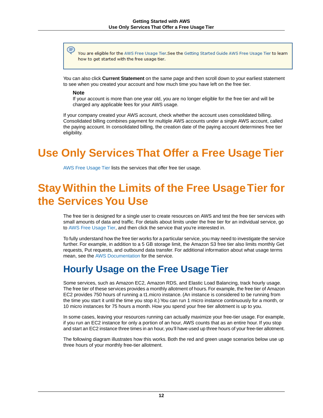You are eligible for the AWS Free Usage Tier.See the Getting Started Guide AWS Free Usage Tier to learn how to get started with the free usage tier.

You can also click **Current Statement** on the same page and then scroll down to your earliest statement to see when you created your account and how much time you have left on the free tier.

#### **Note**

If your account is more than one year old, you are no longer eligible for the free tier and will be charged any applicable fees for your AWS usage.

<span id="page-14-0"></span>If your company created your AWS account, check whether the account uses consolidated billing. Consolidated billing combines payment for multiple AWS accounts under a single AWS account, called the paying account. In consolidated billing, the creation date of the paying account determines free tier eligibility.

# **Use Only Services That Offer a Free Usage Tier**

<span id="page-14-1"></span>[AWS Free Usage Tier](http://aws.amazon.com/free/) lists the services that offer free tier usage.

# **Stay Within the Limits of the Free Usage Tier for the Services You Use**

The free tier is designed for a single user to create resources on AWS and test the free tier services with small amounts of data and traffic. For details about limits under the free tier for an individual service, go to [AWS Free Usage Tier,](http://aws.amazon.com/free/) and then click the service that you're interested in.

<span id="page-14-2"></span>To fully understand how the free tier works for a particular service, you may need to investigate the service further. For example, in addition to a 5 GB storage limit, the Amazon S3 free tier also limits monthly Get requests, Put requests, and outbound data transfer. For additional information about what usage terms mean, see the [AWS Documentation](http://aws.amazon.com/documentation/) for the service.

### **Hourly Usage on the Free Usage Tier**

Some services, such as Amazon EC2, Amazon RDS, and Elastic Load Balancing, track hourly usage. The free tier of these services provides a monthly allotment of hours. For example, the free tier of Amazon EC2 provides 750 hours of running a t1.micro instance. (An instance is considered to be running from the time you start it until the time you stop it.) You can run 1 micro instance continuously for a month, or 10 micro instances for 75 hours a month. How you spend your free tier allotment is up to you.

In some cases, leaving your resources running can actually maximize your free-tier usage. For example, if you run an EC2 instance for only a portion of an hour, AWS counts that as an entire hour. If you stop and start an EC2 instance three times in an hour, you'll have used up three hours of your free-tier allotment.

The following diagram illustrates how this works. Both the red and green usage scenarios below use up three hours of your monthly free-tier allotment.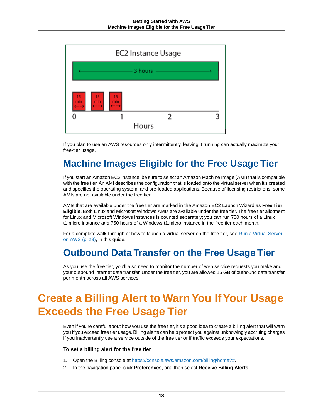

<span id="page-15-0"></span>If you plan to use an AWS resources only intermittently, leaving it running can actually maximize your free-tier usage.

### **Machine Images Eligible for the Free Usage Tier**

If you start an Amazon EC2 instance, be sure to select an Amazon Machine Image (AMI) that is compatible with the free tier. An AMI describes the configuration that is loaded onto the virtual server when it's created and specifies the operating system, and pre-loaded applications. Because of licensing restrictions, some AMIs are not available under the free tier.

AMIs that are available under the free tier are marked in the Amazon EC2 Launch Wizard as **Free Tier Eligible**. Both Linux and Microsoft Windows AMIs are available under the free tier.The free tier allotment for Linux and Microsoft Windows instances is counted separately; you can run 750 hours of a Linux t1.micro instance *and* 750 hours of a Windows t1.micro instance in the free tier each month.

<span id="page-15-1"></span>For a complete walk-through of how to launch a virtual server on the free tier, see [Run a Virtual Server](#page-25-0) [on AWS](#page-25-0) (p. [23\),](#page-25-0) in this guide.

### <span id="page-15-2"></span>**Outbound Data Transfer on the Free Usage Tier**

As you use the free tier, you'll also need to monitor the number of web service requests you make and your outbound Internet data transfer. Under the free tier, you are allowed 15 GB of outbound data transfer per month across all AWS services.

# **Create a Billing Alert to Warn You If Your Usage Exceeds the Free Usage Tier**

Even if you're careful about how you use the free tier, it's a good idea to create a billing alert that will warn you if you exceed free tier usage. Billing alerts can help protect you against unknowingly accruing charges if you inadvertently use a service outside of the free tier or if traffic exceeds your expectations.

#### **To set a billing alert for the free tier**

- 1. Open the Billing console at [https://console.aws.amazon.com/billing/home?#](https://console.aws.amazon.com/billing/home?#/).
- 2. In the navigation pane, click **Preferences**, and then select **Receive Billing Alerts**.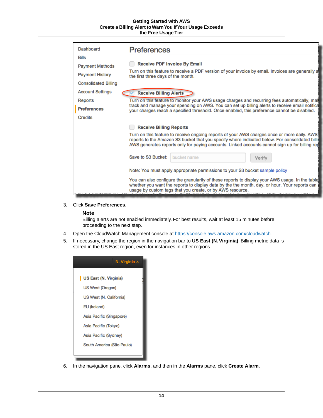#### **Getting Started with AWS Create a Billing Alert to Warn You If Your Usage Exceeds the Free Usage Tier**

| Dashboard                   | <b>Preferences</b>                                                                                                                                                                                                                                                                               |
|-----------------------------|--------------------------------------------------------------------------------------------------------------------------------------------------------------------------------------------------------------------------------------------------------------------------------------------------|
| <b>Bills</b>                | <b>Receive PDF Invoice By Email</b>                                                                                                                                                                                                                                                              |
| <b>Payment Methods</b>      | Turn on this feature to receive a PDF version of your invoice by email. Invoices are generally a                                                                                                                                                                                                 |
| <b>Payment History</b>      | the first three days of the month.                                                                                                                                                                                                                                                               |
| <b>Consolidated Billing</b> |                                                                                                                                                                                                                                                                                                  |
| <b>Account Settings</b>     | <b>Receive Billing Alerts</b>                                                                                                                                                                                                                                                                    |
| <b>Reports</b>              | Turn on this feature to monitor your AWS usage charges and recurring fees automatically, mal                                                                                                                                                                                                     |
| <b>Preferences</b>          | track and manage your spending on AWS. You can set up billing alerts to receive email notifica<br>your charges reach a specified threshold. Once enabled, this preference cannot be disabled.                                                                                                    |
| Credits                     |                                                                                                                                                                                                                                                                                                  |
|                             | <b>Receive Billing Reports</b>                                                                                                                                                                                                                                                                   |
|                             | Turn on this feature to receive ongoing reports of your AWS charges once or more daily. AWS<br>reports to the Amazon S3 bucket that you specify where indicated below. For consolidated billin<br>AWS generates reports only for paying accounts. Linked accounts cannot sign up for billing rep |
|                             | Save to S3 Bucket:<br>bucket name<br>Verify                                                                                                                                                                                                                                                      |
|                             | Note: You must apply appropriate permissions to your S3 bucket sample policy                                                                                                                                                                                                                     |
|                             | You can also configure the granularity of these reports to display your AWS usage. In the table<br>whether you want the reports to display data by the the month, day, or hour. Your reports can<br>usage by custom tags that you create, or by AWS resource.                                    |

#### 3. Click **Save Preferences**.

#### **Note**

Billing alerts are not enabled immediately. For best results, wait at least 15 minutes before proceeding to the next step.

- 4. Open the CloudWatch Management console at [https://console.aws.amazon.com/cloudwatch](https://console.aws.amazon.com/cloudwatch/).
- 5. If necessary, change the region in the navigation bar to **US East (N.Virginia)**. Billing metric data is stored in the US East region, even for instances in other regions.

| N. Virginia ^             |
|---------------------------|
| US East (N. Virginia)     |
| US West (Oregon)          |
| US West (N. California)   |
| EU (Ireland)              |
| Asia Pacific (Singapore)  |
| Asia Pacific (Tokyo)      |
| Asia Pacific (Sydney)     |
| South America (São Paulo) |

6. In the navigation pane, click **Alarms**, and then in the **Alarms** pane, click **Create Alarm**.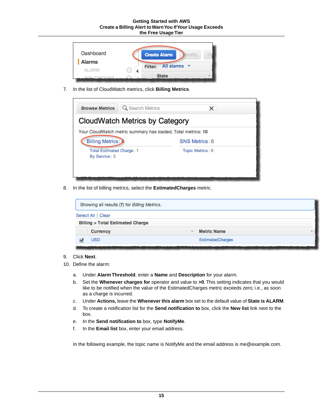| Dashboard<br><b>Alarms</b><br>AL ARM | <b>Create Alarm</b><br><b>All alarms</b><br>$\mathbf{v}$<br>Filter: |
|--------------------------------------|---------------------------------------------------------------------|
| <b>MOLIEEIOIENT</b>                  | <b>State</b>                                                        |

7. In the list of CloudWatch metrics, click **Billing Metrics**.



8. In the list of billing metrics, select the **EstimatedCharges** metric.

| Showing all results (7) for Billing Metrics. |                    |
|----------------------------------------------|--------------------|
| Select All   Clear                           |                    |
| <b>Billing &gt; Total Estimated Charge</b>   |                    |
| <b>Currency</b><br>$\overline{\phantom{a}}$  | <b>Metric Name</b> |
| <b>USD</b>                                   | EstimatedCharges   |
|                                              |                    |

#### 9. Click **Next**.

- 10. Define the alarm:
	- a. Under **Alarm Threshold**, enter a **Name** and **Description** for your alarm.
	- b. Set the **Whenever charges for** operator and value to **>0**. This setting indicates that you would like to be notified when the value of the EstimatedCharges metric exceeds zero; i.e., as soon as a charge is incurred.
	- c. Under **Actions,** leave the **Whenever this alarm** box set to the default value of **State is ALARM**.
	- d. To create a notification list for the **Send notification to** box, click the **New list** link next to the box.
	- e. In the **Send notification to** box, type **NotifyMe**.
	- f. In the **Email list** box, enter your email address.

In the following example, the topic name is NotifyMe and the email address is me@example.com.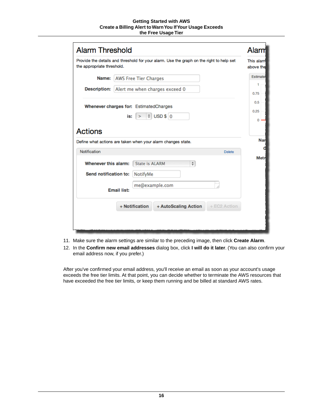#### **Getting Started with AWS Create a Billing Alert to Warn You If Your Usage Exceeds the Free Usage Tier**

| <b>Alarm Threshold</b>                                                                                                 |                                                                               | Alarm     |  |
|------------------------------------------------------------------------------------------------------------------------|-------------------------------------------------------------------------------|-----------|--|
| Provide the details and threshold for your alarm. Use the graph on the right to help set<br>the appropriate threshold. |                                                                               |           |  |
| Name:                                                                                                                  | <b>AWS Free Tier Charges</b>                                                  | Estimate  |  |
| <b>Description:</b><br>Alert me when charges exceed 0                                                                  |                                                                               |           |  |
|                                                                                                                        | Whenever charges for: EstimatedCharges                                        | 0.5       |  |
|                                                                                                                        | $\div$ USD $\$\circ$ 0<br>is:<br>$\geq$                                       | 0.25<br>0 |  |
| Notification                                                                                                           | Define what actions are taken when your alarm changes state.<br><b>Delete</b> | Nar       |  |
| Whenever this alarm:                                                                                                   | <b>State is ALARM</b><br>$\frac{A}{V}$                                        | Metr      |  |
| Send notification to:                                                                                                  | <b>NotifyMe</b>                                                               |           |  |
|                                                                                                                        | me@example.com<br><b>Email list:</b>                                          |           |  |
|                                                                                                                        |                                                                               |           |  |
|                                                                                                                        | + Notification<br>+ EC2 Action<br>+ AutoScaling Action                        |           |  |
|                                                                                                                        |                                                                               |           |  |

- 11. Make sure the alarm settings are similar to the preceding image, then click **Create Alarm**.
- 12. In the **Confirm new email addresses** dialog box, click **I will do it later**. (You can also confirm your email address now, if you prefer.)

After you've confirmed your email address, you'll receive an email as soon as your account's usage exceeds the free tier limits. At that point, you can decide whether to terminate the AWS resources that have exceeded the free tier limits, or keep them running and be billed at standard AWS rates.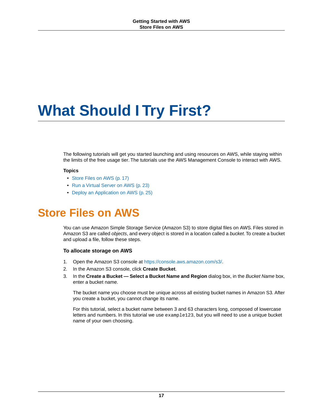# <span id="page-19-0"></span>**What Should I Try First?**

The following tutorials will get you started launching and using resources on AWS, while staying within the limits of the free usage tier. The tutorials use the AWS Management Console to interact with AWS.

#### **Topics**

- [Store Files on AWS \(p.](#page-19-1) 17)
- <span id="page-19-1"></span>• [Run a Virtual Server on AWS \(p.](#page-25-0) 23)
- [Deploy an Application on AWS \(p.](#page-27-0) 25)

# **Store Files on AWS**

You can use Amazon Simple Storage Service (Amazon S3) to store digital files on AWS. Files stored in Amazon S3 are called *objects*, and every object is stored in a location called a *bucket*.To create a bucket and upload a file, follow these steps.

#### **To allocate storage on AWS**

- 1. Open the Amazon S3 console at [https://console.aws.amazon.com/s3/.](https://console.aws.amazon.com/s3/)
- 2. In the Amazon S3 console, click **Create Bucket**.
- 3. In the **Create a Bucket Select a Bucket Name and Region** dialog box, in the *Bucket Name* box, enter a bucket name.

The bucket name you choose must be unique across all existing bucket names in Amazon S3. After you create a bucket, you cannot change its name.

For this tutorial, select a bucket name between 3 and 63 characters long, composed of lowercase letters and numbers. In this tutorial we use example123, but you will need to use a unique bucket name of your own choosing.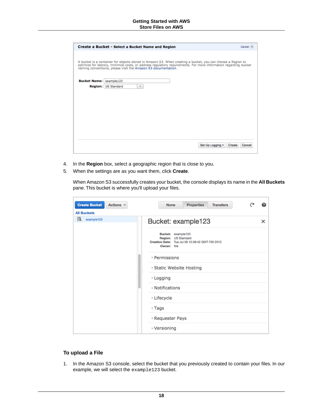|                     | Create a Bucket - Select a Bucket Name and Region                                                                                                                                                                                                                                               | Cancel X         |
|---------------------|-------------------------------------------------------------------------------------------------------------------------------------------------------------------------------------------------------------------------------------------------------------------------------------------------|------------------|
|                     | A bucket is a container for objects stored in Amazon S3. When creating a bucket, you can choose a Region to<br>optimize for latency, minimize costs, or address regulatory requirements. For more information regarding bucket<br>naming conventions, please visit the Amazon S3 documentation. |                  |
| <b>Bucket Name:</b> | example123                                                                                                                                                                                                                                                                                      |                  |
| Region:             | <b>US Standard</b><br>$\overline{\phantom{a}}$                                                                                                                                                                                                                                                  |                  |
|                     |                                                                                                                                                                                                                                                                                                 |                  |
|                     |                                                                                                                                                                                                                                                                                                 |                  |
|                     |                                                                                                                                                                                                                                                                                                 |                  |
|                     |                                                                                                                                                                                                                                                                                                 |                  |
|                     |                                                                                                                                                                                                                                                                                                 |                  |
|                     |                                                                                                                                                                                                                                                                                                 |                  |
|                     |                                                                                                                                                                                                                                                                                                 |                  |
|                     |                                                                                                                                                                                                                                                                                                 |                  |
|                     | Set Up Logging >                                                                                                                                                                                                                                                                                | Create<br>Cancel |
|                     |                                                                                                                                                                                                                                                                                                 |                  |

- 4. In the **Region** box, select a geographic region that is close to you.
- 5. When the settings are as you want them, click **Create**.

When Amazon S3 successfully creates your bucket, the console displays its name in the **All Buckets** pane. This bucket is where you'll upload your files.

| <b>Create Bucket</b><br>Actions v<br><b>All Buckets</b> | <b>Properties</b><br><b>Transfers</b><br><b>None</b>                                                      |   |
|---------------------------------------------------------|-----------------------------------------------------------------------------------------------------------|---|
| Q<br>example123                                         | Bucket: example123                                                                                        | × |
|                                                         | Bucket: example123<br>Region: US Standard<br>Creation Date: Tue Jul 09 12:38:42 GMT-700 2013<br>Owner: Me |   |
|                                                         | <b>Permissions</b>                                                                                        |   |
|                                                         | Static Website Hosting                                                                                    |   |
|                                                         | <b>Logging</b>                                                                                            |   |
|                                                         | <b>Notifications</b>                                                                                      |   |
|                                                         | <b>Lifecycle</b>                                                                                          |   |
|                                                         | $\sqrt{2}$ Tags                                                                                           |   |
|                                                         | Requester Pays                                                                                            |   |
|                                                         | ∗ Versioning                                                                                              |   |

#### **To upload a File**

1. In the Amazon S3 console, select the bucket that you previously created to contain your files. In our example, we will select the example123 bucket.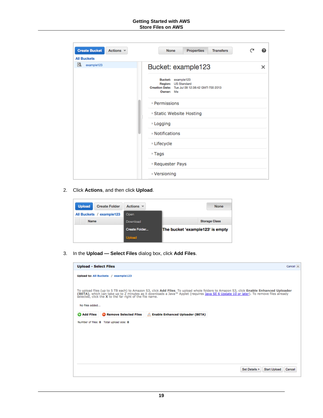#### **Getting Started with AWS Store Files on AWS**

| <b>Create Bucket</b><br>Actions v     | <b>Properties</b><br><b>Transfers</b><br><b>None</b>                                                      |   |
|---------------------------------------|-----------------------------------------------------------------------------------------------------------|---|
| <b>All Buckets</b><br>Q<br>example123 | Bucket: example123                                                                                        | × |
|                                       | Bucket: example123<br>Region: US Standard<br>Creation Date: Tue Jul 09 12:38:42 GMT-700 2013<br>Owner: Me |   |
|                                       | <b>Permissions</b>                                                                                        |   |
|                                       | ▶ Static Website Hosting                                                                                  |   |
|                                       | <b>Logging</b>                                                                                            |   |
|                                       | <b>Notifications</b>                                                                                      |   |
|                                       | <b>Lifecycle</b>                                                                                          |   |
|                                       | $\sqrt{2}$ Tags                                                                                           |   |
|                                       | <b>Requester Pays</b>                                                                                     |   |
|                                       | ▸ Versioning                                                                                              |   |

2. Click **Actions**, and then click **Upload**.

| <b>Upload</b><br><b>Create Folder</b> | Actions $\vee$ | <b>None</b>                      |
|---------------------------------------|----------------|----------------------------------|
| example123<br>All Buckets /           | Open           |                                  |
| <b>Name</b>                           | Download       | <b>Storage Class</b>             |
|                                       | Create Folder  | The bucket 'example123' is empty |
|                                       | <b>Upload</b>  |                                  |

3. In the **Upload — Select Files** dialog box, click **Add Files**.

|                    | <b>Upload - Select Files</b>                             | Cancel X                                                                                                                                                                                                                                                                        |
|--------------------|----------------------------------------------------------|---------------------------------------------------------------------------------------------------------------------------------------------------------------------------------------------------------------------------------------------------------------------------------|
|                    | Upload to: All Buckets / example123                      |                                                                                                                                                                                                                                                                                 |
| No files added     | selected, click the X to the far right of the file name. | To upload files (up to 5 TB each) to Amazon S3, click Add Files. To upload whole folders to Amazon S3, click Enable Enhanced Uploader<br>(BETA), which can take up to 2 minutes as it downloads a Java™ Applet (requires Java SE 6 Update 10 or later). To remove files already |
| <b>C</b> Add Files | Remove Selected Files                                    | <b>Enable Enhanced Uploader (BETA)</b>                                                                                                                                                                                                                                          |
|                    | Number of files: 0 Total upload size: 0                  |                                                                                                                                                                                                                                                                                 |
|                    |                                                          |                                                                                                                                                                                                                                                                                 |
|                    |                                                          |                                                                                                                                                                                                                                                                                 |
|                    |                                                          |                                                                                                                                                                                                                                                                                 |
|                    |                                                          |                                                                                                                                                                                                                                                                                 |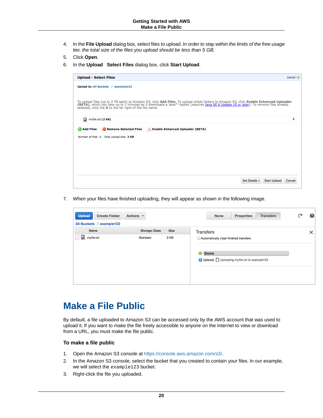- 4. In the **File Upload** dialog box, select files to upload. *In order to stay within the limits of the free usage tier, the total size of the files you upload should be less than 5 GB.*
- 5. Click **Open**.
- 6. In the **Upload Select Files** dialog box, click **Start Upload**.

|                    | Upload to: All Buckets / example123                      |                                        |                                                                                                                                                                                                                                  |   |
|--------------------|----------------------------------------------------------|----------------------------------------|----------------------------------------------------------------------------------------------------------------------------------------------------------------------------------------------------------------------------------|---|
|                    | selected, click the X to the far right of the file name. |                                        | To upload files (up to 5 TB each) to Amazon S3, click Add Files. To upload whole folders to Amazon S3, click Enable Enhanced Uploader<br>(BETA), which can take up to 2 minutes as it downloads a Java™ Applet (requires Java SE |   |
| D.                 | myfile.txt (2 KB)                                        |                                        |                                                                                                                                                                                                                                  | x |
| <b>C</b> Add Files | Remove Selected Files                                    | <b>Enable Enhanced Uploader (BETA)</b> |                                                                                                                                                                                                                                  |   |
|                    | Number of files: 1 Total upload size: 2 KB               |                                        |                                                                                                                                                                                                                                  |   |
|                    |                                                          |                                        |                                                                                                                                                                                                                                  |   |
|                    |                                                          |                                        |                                                                                                                                                                                                                                  |   |
|                    |                                                          |                                        |                                                                                                                                                                                                                                  |   |
|                    |                                                          |                                        |                                                                                                                                                                                                                                  |   |
|                    |                                                          |                                        |                                                                                                                                                                                                                                  |   |

7. When your files have finished uploading, they will appear as shown in the following image.

| <b>Upload</b><br><b>Create Folder</b><br>Actions $\vee$<br>All Buckets /<br>example123 |                                                         | <b>None</b><br><b>Properties</b><br><b>Transfers</b>                                                                         | - 2 | ❷ |
|----------------------------------------------------------------------------------------|---------------------------------------------------------|------------------------------------------------------------------------------------------------------------------------------|-----|---|
| Name<br>⊟<br>myfile.txt                                                                | <b>Storage Class</b><br><b>Size</b><br>2 KB<br>Standard | <b>Transfers</b><br>Automatically clear finished transfers<br><b>Done</b><br>o<br>Upload: Uploading myfile.txt to example123 |     | × |

### <span id="page-22-0"></span>**Make a File Public**

By default, a file uploaded to Amazon S3 can be accessed only by the AWS account that was used to upload it. If you want to make the file freely accessible to anyone on the Internet to view or download from a URL, you must make the file public.

#### **To make a file public**

- 1. Open the Amazon S3 console at [https://console.aws.amazon.com/s3/.](https://console.aws.amazon.com/s3/)
- 2. In the Amazon S3 console, select the bucket that you created to contain your files. In our example, we will select the example123 bucket.
- 3. Right-click the file you uploaded.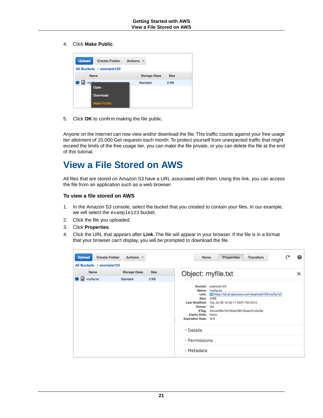4. Click **Make Public**.



5. Click **OK** to confirm making the file public.

<span id="page-23-0"></span>Anyone on the Internet can now view and/or download the file. This traffic counts against your free usage tier allotment of 20,000 Get requests each month. To protect yourself from unexpected traffic that might exceed the limits of the free usage tier, you can make the file private, or you can delete the file at the end of this tutorial.

### **View a File Stored on AWS**

All files that are stored on Amazon S3 have a URL associated with them. Using this link, you can access the file from an application such as a web browser.

#### **To view a file stored on AWS**

- 1. In the Amazon S3 console, select the bucket that you created to contain your files. In our example, we will select the example123 bucket.
- 2. Click the file you uploaded.
- 3. Click **Properties**.
- 4. Click the URL that appears after **Link**. The file will appear in your browser. If the file is in a format that your browser can't display, you will be prompted to download the file.

| <b>Upload</b>            | <b>Create Folder</b><br>Actions $\vee$ |             | <b>Properties</b><br><b>Transfers</b><br><b>None</b>                                                                                                             | ℯ |
|--------------------------|----------------------------------------|-------------|------------------------------------------------------------------------------------------------------------------------------------------------------------------|---|
| All Buckets / example123 |                                        |             |                                                                                                                                                                  |   |
| Name                     | <b>Storage Class</b>                   | <b>Size</b> | Object: myfile.txt                                                                                                                                               | × |
| myfile.txt               | Standard                               | 2 KB        | <b>Bucket:</b><br>example123<br>Name:<br>myfile.txt<br>Link:<br>https://s3.amazonaws.com/example123/myfile.txt<br>2056<br>Size:                                  |   |
|                          |                                        |             | <b>Last Modified:</b><br>Tue Jul 09 12:42:11 GMT-700 2013<br>Owner:<br>Me<br>ETag: 34cce48b72d163a438319cacd7c2a49c<br>Expiry Date: None<br>Expiration Rule: N/A |   |
|                          |                                        |             | <b>Details</b><br>r<br><b>Permissions</b>                                                                                                                        |   |
|                          |                                        |             | ▶ Metadata                                                                                                                                                       |   |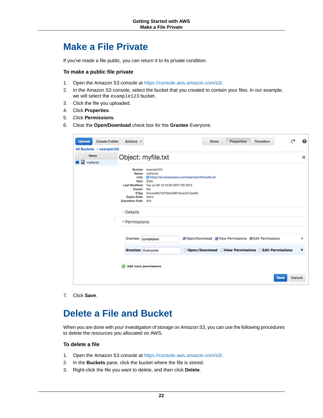### <span id="page-24-0"></span>**Make a File Private**

If you've made a file public, you can return it to its private condition.

#### **To make a public file private**

- 1. Open the Amazon S3 console at [https://console.aws.amazon.com/s3/.](https://console.aws.amazon.com/s3/)
- 2. In the Amazon S3 console, select the bucket that you created to contain your files. In our example, we will select the example123 bucket.
- 3. Click the file you uploaded.
- 4. Click **Properties**.
- 5. Click **Permissions**.
- 6. Clear the **Open/Download** check box for the **Grantee** Everyone.

| <b>Create Folder</b><br><b>Upload</b><br>All Buckets / example123 | Actions v                                                                                                                                                                                                                                                                     |  | <b>None</b> | <b>Properties</b> | <b>Transfers</b>                                                                                               |                       |                  |
|-------------------------------------------------------------------|-------------------------------------------------------------------------------------------------------------------------------------------------------------------------------------------------------------------------------------------------------------------------------|--|-------------|-------------------|----------------------------------------------------------------------------------------------------------------|-----------------------|------------------|
| <b>Name</b><br>myfile.txt                                         | Object: myfile.txt                                                                                                                                                                                                                                                            |  |             |                   |                                                                                                                |                       | $\times$         |
|                                                                   | Bucket: example123<br>Name: myfile.txt<br>https://s3.amazonaws.com/example123/myfile.txt<br>Link:<br>Size: 2056<br>Last Modified: Tue Jul 09 13:10:09 GMT-700 2013<br>Owner: Me<br>ETag: 34cce48b72d163a438319cacd7c2a49c<br><b>Expiry Date: None</b><br>Expiration Rule: N/A |  |             |                   |                                                                                                                |                       |                  |
| ▶ Details<br>* Permissions                                        |                                                                                                                                                                                                                                                                               |  |             |                   |                                                                                                                |                       |                  |
|                                                                   | Grantee: syneataws<br><b>Grantee: Everyone</b>                                                                                                                                                                                                                                |  |             |                   | Ø Open/Download Ø View Permissions Ø Edit Permissions<br>□ Open/Download □ View Permissions □ Edit Permissions |                       | x<br>$\mathbf x$ |
|                                                                   | Add more permissions                                                                                                                                                                                                                                                          |  |             |                   |                                                                                                                | Cancel<br><b>Save</b> |                  |

<span id="page-24-1"></span>7. Click **Save**.

### **Delete a File and Bucket**

When you are done with your investigation of storage on Amazon S3, you can use the following procedures to delete the resources you allocated on AWS.

#### **To delete a file**

- 1. Open the Amazon S3 console at [https://console.aws.amazon.com/s3/.](https://console.aws.amazon.com/s3/)
- 2. In the **Buckets** pane, click the bucket where the file is stored.
- 3. Right-click the file you want to delete, and then click **Delete**.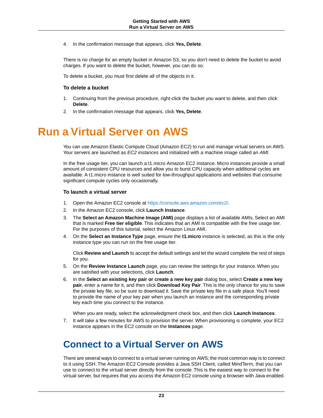4. In the confirmation message that appears, click **Yes, Delete**.

There is no charge for an empty bucket in Amazon S3, so you don't need to delete the bucket to avoid charges. If you want to delete the bucket, however, you can do so.

To delete a bucket, you must first delete all of the objects in it.

#### **To delete a bucket**

- 1. Continuing from the previous procedure, right-click the bucket you want to delete, and then click **Delete**.
- <span id="page-25-0"></span>2. In the confirmation message that appears, click **Yes, Delete**.

# **Run a Virtual Server on AWS**

You can use Amazon Elastic Compute Cloud (Amazon EC2) to run and manage virtual servers on AWS. Your servers are launched as *EC2 instances* and initialized with a machine image called an *AMI*.

In the free usage tier, you can launch a t1.micro Amazon EC2 instance. Micro instances provide a small amount of consistent CPU resources and allow you to burst CPU capacity when additional cycles are available. A t1.micro instance is well suited for low-throughput applications and websites that consume significant compute cycles only occasionally.

#### **To launch a virtual server**

- 1. Open the Amazon EC2 console at [https://console.aws.amazon.com/ec2/.](https://console.aws.amazon.com/ec2/)
- 2. In the Amazon EC2 console, click **Launch Instance**.
- 3. The **Select an Amazon Machine Image (AMI)** page displays a list of available AMIs. Select an AMI that is marked **Free tier eligible**. This indicates that an AMI is compatible with the free usage tier. For the purposes of this tutorial, select the Amazon Linux AMI.
- 4. On the **Select an Instance Type** page, ensure the **t1.micro** instance is selected, as this is the only instance type you can run on the free usage tier.

Click **Review and Launch** to accept the default settings and let the wizard complete the rest of steps for you.

- 5. On the **Review Instance Launch** page, you can review the settings for your instance. When you are satisfied with your selections, click **Launch**.
- 6. In the **Select an existing key pair or create a new key pair** dialog box, select **Create a new key pair**, enter a name for it, and then click **Download Key Pair**. This is the only chance for you to save the private key file, so be sure to download it. Save the private key file in a safe place. You'll need to provide the name of your key pair when you launch an instance and the corresponding private key each time you connect to the instance.

When you are ready, select the acknowledgment check box, and then click **Launch Instances**.

<span id="page-25-1"></span>7. It will take a few minutes for AWS to provision the server. When provisioning is complete, your EC2 instance appears in the EC2 console on the **Instances** page.

### **Connect to a Virtual Server on AWS**

There are several ways to connect to a virtual server running on AWS; the most common way is to connect to it using SSH. The Amazon EC2 Console provides a Java SSH Client, called MindTerm, that you can use to connect to the virtual server directly from the console. This is the easiest way to connect to the virtual server, but requires that you access the Amazon EC2 console using a browser with Java enabled.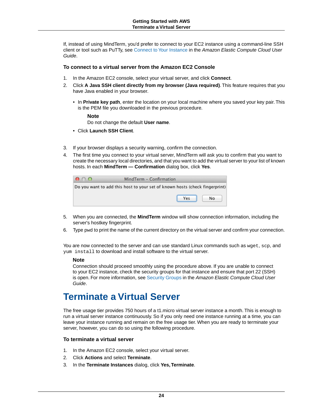If, instead of using MindTerm, you'd prefer to connect to your EC2 instance using a command-line SSH client or tool such as PuTTy, see [Connect to Your Instance](http://docs.aws.amazon.com/AWSEC2/latest/UserGuide/ec2-connect-to-instance-linux.html) in the *Amazon Elastic Compute Cloud User Guide*.

#### **To connect to a virtual server from the Amazon EC2 Console**

- 1. In the Amazon EC2 console, select your virtual server, and click **Connect**.
- 2. Click **A Java SSH client directly from my browser (Java required)**. This feature requires that you have Java enabled in your browser.
	- In **Private key path**, enter the location on your local machine where you saved your key pair.This is the PEM file you downloaded in the previous procedure.

#### **Note**

Do not change the default **User name**.

- Click **Launch SSH Client**.
- 3. If your browser displays a security warning, confirm the connection.
- 4. The first time you connect to your virtual server, MindTerm will ask you to confirm that you want to create the necessary local directories, and that you want to add the virtual server to your list of known hosts. In each **MindTerm — Confirmation** dialog box, click **Yes**.

| MindTerm - Confirmation                                                     |  |  |  |  |  |
|-----------------------------------------------------------------------------|--|--|--|--|--|
| Do you want to add this host to your set of known hosts (check fingerprint) |  |  |  |  |  |
| Yes<br>No                                                                   |  |  |  |  |  |
|                                                                             |  |  |  |  |  |

- 5. When you are connected, the **MindTerm** window will show connection information, including the server's hostkey fingerprint.
- 6. Type  $_{\text{pwd}}$  to print the name of the current directory on the virtual server and confirm your connection.

You are now connected to the server and can use standard Linux commands such as wget, scp, and yum install to download and install software to the virtual server.

#### <span id="page-26-0"></span>**Note**

Connection should proceed smoothly using the procedure above. If you are unable to connect to your EC2 instance, check the security groups for that instance and ensure that port 22 (SSH) is open. For more information, see [Security Groups](http://docs.aws.amazon.com/AWSEC2/latest/UserGuide/using-network-security.html) in the *Amazon Elastic Compute Cloud User Guide*.

### **Terminate a Virtual Server**

The free usage tier provides 750 hours of a t1.micro virtual server instance a month. This is enough to run a virtual server instance continuously. So if you only need one instance running at a time, you can leave your instance running and remain on the free usage tier. When you are ready to terminate your server, however, you can do so using the following procedure.

#### **To terminate a virtual server**

- 1. In the Amazon EC2 console, select your virtual server.
- 2. Click **Actions** and select **Terminate**.
- 3. In the **Terminate Instances** dialog, click **Yes,Terminate**.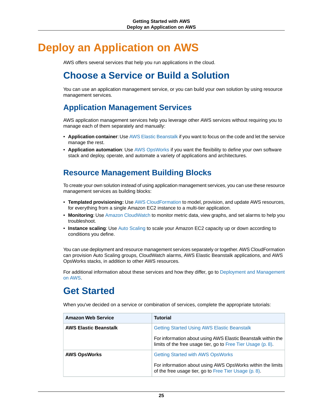# <span id="page-27-0"></span>**Deploy an Application on AWS**

<span id="page-27-1"></span>AWS offers several services that help you run applications in the cloud.

### **Choose a Service or Build a Solution**

You can use an application management service, or you can build your own solution by using resource management services.

### **Application Management Services**

AWS application management services help you leverage other AWS services without requiring you to manage each of them separately and manually:

- **Application container**: Use [AWS Elastic Beanstalk](https://aws.amazon.com/elasticbeanstalk/) if you want to focus on the code and let the service manage the rest.
- **Application automation**: Use [AWS OpsWorks](https://aws.amazon.com/opsworks/) if you want the flexibility to define your own software stack and deploy, operate, and automate a variety of applications and architectures.

### **Resource Management Building Blocks**

To create your own solution instead of using application management services, you can use these resource management services as building blocks:

- **Templated provisioning:** Use [AWS CloudFormation](https://aws.amazon.com/cloudformation/) to model, provision, and update AWS resources, for everything from a single Amazon EC2 instance to a multi-tier application.
- **Monitoring**: Use [Amazon CloudWatch](https://aws.amazon.com/cloudwatch/) to monitor metric data, view graphs, and set alarms to help you troubleshoot.
- **Instance scaling**: Use [Auto Scaling](http://aws.amazon.com/autoscaling/) to scale your Amazon EC2 capacity up or down according to conditions you define.

<span id="page-27-2"></span>You can use deployment and resource management services separately or together. AWS CloudFormation can provision Auto Scaling groups, CloudWatch alarms, AWS Elastic Beanstalk applications, and AWS OpsWorks stacks, in addition to other AWS resources.

For additional information about these services and how they differ, go to [Deployment and Management](https://aws.amazon.com/application-management/) [on AWS](https://aws.amazon.com/application-management/).

### **Get Started**

When you've decided on a service or combination of services, complete the appropriate tutorials:

| <b>Amazon Web Service</b>    | <b>Tutorial</b>                                                                                                              |  |  |
|------------------------------|------------------------------------------------------------------------------------------------------------------------------|--|--|
| <b>AWS Elastic Beanstalk</b> | <b>Getting Started Using AWS Elastic Beanstalk</b>                                                                           |  |  |
|                              | For information about using AWS Elastic Beanstalk within the<br>limits of the free usage tier, go to Free Tier Usage (p. 8). |  |  |
| <b>AWS OpsWorks</b>          | <b>Getting Started with AWS OpsWorks</b>                                                                                     |  |  |
|                              | For information about using AWS OpsWorks within the limits<br>of the free usage tier, go to Free Tier Usage (p. 8).          |  |  |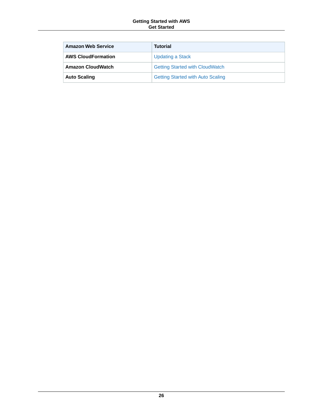#### **Getting Started with AWS Get Started**

| <b>Amazon Web Service</b> | <b>Tutorial</b>                          |
|---------------------------|------------------------------------------|
| <b>AWS CloudFormation</b> | <b>Updating a Stack</b>                  |
| <b>Amazon CloudWatch</b>  | <b>Getting Started with CloudWatch</b>   |
| <b>Auto Scaling</b>       | <b>Getting Started with Auto Scaling</b> |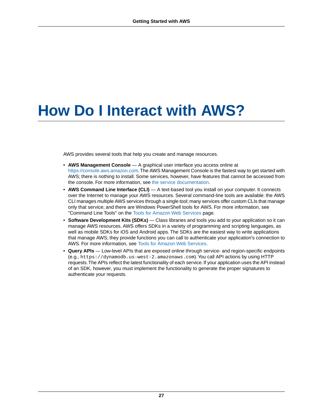# <span id="page-29-0"></span>**How Do I Interact with AWS?**

AWS provides several tools that help you create and manage resources.

- **AWS Management Console** A graphical user interface you access online at <https://console.aws.amazon.com>.The AWS Management Console is the fastest way to get started with AWS; there is nothing to install. Some services, however, have features that cannot be accessed from the console. For more information, see [the service documentation.](https://aws.amazon.com/documentation/)
- **AWS Command Line Interface (CLI)** A text-based tool you install on your computer. It connects over the Internet to manage your AWS resources. Several command-line tools are available: the AWS CLI manages multiple AWS services through a single tool; many services offer custom CLIs that manage only that service; and there are Windows PowerShell tools for AWS. For more information, see "Command Line Tools" on the [Tools for Amazon Web Services](https://aws.amazon.com/tools/) page.
- **Software Development Kits (SDKs)** Class libraries and tools you add to your application so it can manage AWS resources. AWS offers SDKs in a variety of programming and scripting languages, as well as mobile SDKs for iOS and Android apps. The SDKs are the easiest way to write applications that manage AWS; they provide functions you can call to authenticate your application's connection to AWS. For more information, see [Tools for Amazon Web Services](https://aws.amazon.com/tools/).
- **Query APIs** Low-level APIs that are exposed online through service- and region-specific endpoints (e.g., https://dynamodb.us-west-2.amazonaws.com).You call API actions by using HTTP requests.The APIs reflect the latest functionality of each service. If your application uses the API instead of an SDK, however, you must implement the functionality to generate the proper signatures to authenticate your requests.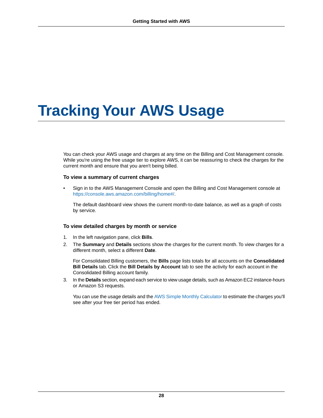# <span id="page-30-0"></span>**Tracking Your AWS Usage**

You can check your AWS usage and charges at any time on the Billing and Cost Management console. While you're using the free usage tier to explore AWS, it can be reassuring to check the charges for the current month and ensure that you aren't being billed.

#### **To view a summary of current charges**

• Sign in to the AWS Management Console and open the Billing and Cost Management console at [https://console.aws.amazon.com/billing/home#/.](https://console.aws.amazon.com/billing/home#/)

The default dashboard view shows the current month-to-date balance, as well as a graph of costs by service.

#### **To view detailed charges by month or service**

- 1. In the left navigation pane, click **Bills**.
- 2. The **Summary** and **Details** sections show the charges for the current month. To view charges for a different month, select a different **Date**.

For Consolidated Billing customers, the **Bills** page lists totals for all accounts on the **Consolidated Bill Details** tab. Click the **Bill Details by Account** tab to see the activity for each account in the Consolidated Billing account family.

3. In the **Details** section, expand each service to view usage details, such as Amazon EC2 instance-hours or Amazon S3 requests.

You can use the usage details and the [AWS Simple Monthly Calculator](http://calculator.s3.amazonaws.com/index.html) to estimate the charges you'll see after your free tier period has ended.